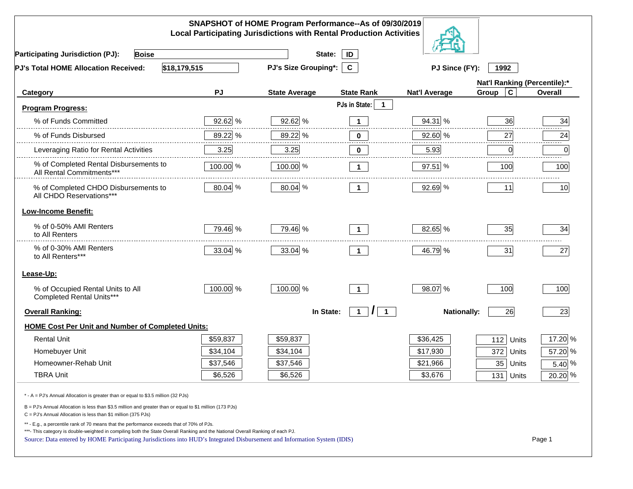|                                                                                                                                                                                                                                                                                                                                                          |           | SNAPSHOT of HOME Program Performance--As of 09/30/2019<br><b>Local Participating Jurisdictions with Rental Production Activities</b> |                                           |                      |                              |         |
|----------------------------------------------------------------------------------------------------------------------------------------------------------------------------------------------------------------------------------------------------------------------------------------------------------------------------------------------------------|-----------|--------------------------------------------------------------------------------------------------------------------------------------|-------------------------------------------|----------------------|------------------------------|---------|
| <b>Participating Jurisdiction (PJ):</b><br><b>Boise</b>                                                                                                                                                                                                                                                                                                  |           | State:                                                                                                                               | ID                                        |                      |                              |         |
| \$18,179,515<br><b>PJ's Total HOME Allocation Received:</b>                                                                                                                                                                                                                                                                                              |           | PJ's Size Grouping*:                                                                                                                 | $\mathbf{C}$                              | PJ Since (FY):       | 1992                         |         |
|                                                                                                                                                                                                                                                                                                                                                          |           |                                                                                                                                      |                                           |                      | Nat'l Ranking (Percentile):* |         |
| Category                                                                                                                                                                                                                                                                                                                                                 | PJ        | <b>State Average</b>                                                                                                                 | <b>State Rank</b>                         | <b>Nat'l Average</b> | Group<br>C                   | Overall |
| Program Progress:                                                                                                                                                                                                                                                                                                                                        |           |                                                                                                                                      | PJs in State:<br>-1                       |                      |                              |         |
| % of Funds Committed                                                                                                                                                                                                                                                                                                                                     | $92.62\%$ | 92.62 %                                                                                                                              | $\mathbf{1}$                              | 94.31 %              | 36                           | 34      |
| % of Funds Disbursed                                                                                                                                                                                                                                                                                                                                     | 89.22 %   | 89.22 %                                                                                                                              | $\mathbf 0$                               | 92.60 %              | 27                           | 24      |
| Leveraging Ratio for Rental Activities                                                                                                                                                                                                                                                                                                                   | 3.25      | 3.25                                                                                                                                 | 0                                         | 5.93                 | $\mathbf 0$                  | 0       |
| % of Completed Rental Disbursements to<br>All Rental Commitments***                                                                                                                                                                                                                                                                                      | 100.00 %  | 100.00 %                                                                                                                             | $\mathbf{1}$                              | 97.51 %              | 100                          | 100     |
| % of Completed CHDO Disbursements to<br>All CHDO Reservations***                                                                                                                                                                                                                                                                                         | 80.04 %   | 80.04 %                                                                                                                              | $\mathbf 1$                               | 92.69 %              | 11                           | 10      |
| <b>Low-Income Benefit:</b>                                                                                                                                                                                                                                                                                                                               |           |                                                                                                                                      |                                           |                      |                              |         |
| % of 0-50% AMI Renters<br>to All Renters                                                                                                                                                                                                                                                                                                                 | 79.46 %   | 79.46 %                                                                                                                              | $\mathbf 1$                               | 82.65 %              | 35                           | 34      |
| % of 0-30% AMI Renters<br>to All Renters***                                                                                                                                                                                                                                                                                                              | 33.04 %   | 33.04 %                                                                                                                              | 1.                                        | 46.79 %              | 31                           | 27      |
| Lease-Up:                                                                                                                                                                                                                                                                                                                                                |           |                                                                                                                                      |                                           |                      |                              |         |
| % of Occupied Rental Units to All<br>Completed Rental Units***                                                                                                                                                                                                                                                                                           | 100.00 %  | 100.00 %                                                                                                                             | $\mathbf 1$                               | 98.07 %              | 100                          | 100     |
| <b>Overall Ranking:</b>                                                                                                                                                                                                                                                                                                                                  |           | In State:                                                                                                                            | $\prime$<br>$\overline{1}$<br>$\mathbf 1$ | <b>Nationally:</b>   | 26                           | 23      |
| <b>HOME Cost Per Unit and Number of Completed Units:</b>                                                                                                                                                                                                                                                                                                 |           |                                                                                                                                      |                                           |                      |                              |         |
| <b>Rental Unit</b>                                                                                                                                                                                                                                                                                                                                       | \$59,837  | \$59,837                                                                                                                             |                                           | \$36,425             | 112<br>Units                 | 17.20 % |
| Homebuyer Unit                                                                                                                                                                                                                                                                                                                                           | \$34,104  | \$34,104                                                                                                                             |                                           | \$17,930             | 372<br>Units                 | 57.20 % |
| Homeowner-Rehab Unit                                                                                                                                                                                                                                                                                                                                     | \$37,546  | \$37,546                                                                                                                             |                                           | \$21,966             | 35<br>Units                  | 5.40 %  |
| <b>TBRA Unit</b>                                                                                                                                                                                                                                                                                                                                         | \$6,526   | \$6,526                                                                                                                              |                                           | \$3,676              | 131 Units                    | 20.20 % |
| * - A = PJ's Annual Allocation is greater than or equal to \$3.5 million (32 PJs)                                                                                                                                                                                                                                                                        |           |                                                                                                                                      |                                           |                      |                              |         |
| B = PJ's Annual Allocation is less than \$3.5 million and greater than or equal to \$1 million (173 PJs)<br>C = PJ's Annual Allocation is less than \$1 million (375 PJs)                                                                                                                                                                                |           |                                                                                                                                      |                                           |                      |                              |         |
| ** - E.g., a percentile rank of 70 means that the performance exceeds that of 70% of PJs.<br>***- This category is double-weighted in compiling both the State Overall Ranking and the National Overall Ranking of each PJ.<br>Source: Data entered by HOME Participating Jurisdictions into HUD's Integrated Disbursement and Information System (IDIS) |           |                                                                                                                                      |                                           |                      |                              | Page 1  |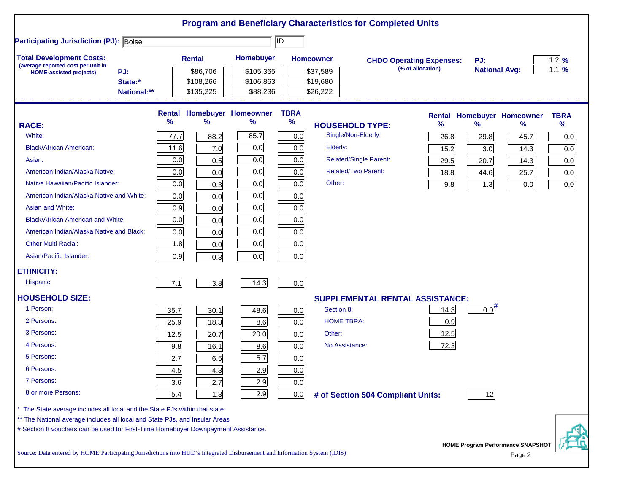|                                                                                                                           |      |               |                                   |             | <b>Program and Beneficiary Characteristics for Completed Units</b> |                                 |                                          |             |
|---------------------------------------------------------------------------------------------------------------------------|------|---------------|-----------------------------------|-------------|--------------------------------------------------------------------|---------------------------------|------------------------------------------|-------------|
| <b>Participating Jurisdiction (PJ): Boise</b>                                                                             |      |               |                                   | ID          |                                                                    |                                 |                                          |             |
| <b>Total Development Costs:</b>                                                                                           |      | <b>Rental</b> | <b>Homebuyer</b>                  |             | <b>Homeowner</b>                                                   | <b>CHDO Operating Expenses:</b> | PJ:                                      | 1.2%        |
| (average reported cost per unit in<br>PJ:<br><b>HOME-assisted projects)</b>                                               |      | \$86,706      | \$105,365                         |             | \$37,589                                                           | (% of allocation)               | <b>National Avg:</b>                     | $1.1\%$     |
| State:*                                                                                                                   |      | \$108,266     | \$106,863                         |             | \$19,680                                                           |                                 |                                          |             |
| National:**                                                                                                               |      | \$135,225     | \$88,236                          |             | \$26,222                                                           |                                 |                                          |             |
|                                                                                                                           |      |               | <b>Rental Homebuyer Homeowner</b> | <b>TBRA</b> |                                                                    | <b>Rental</b>                   | <b>Homebuyer Homeowner</b>               | <b>TBRA</b> |
| <b>RACE:</b>                                                                                                              | %    | %             | %                                 | %           | <b>HOUSEHOLD TYPE:</b>                                             | %                               | $\%$<br>$\%$                             | $\%$        |
| White:                                                                                                                    | 77.7 | 88.2          | 85.7                              | 0.0         | Single/Non-Elderly:                                                | 26.8                            | 29.8<br>45.7                             | 0.0         |
| <b>Black/African American:</b>                                                                                            | 11.6 | 7.0           | 0.0                               | 0.0         | Elderly:                                                           | 15.2                            | 3.0<br>14.3                              | 0.0         |
| Asian:                                                                                                                    | 0.0  | 0.5           | 0.0                               | 0.0         | <b>Related/Single Parent:</b>                                      | 29.5                            | 20.7<br>14.3                             | 0.0         |
| American Indian/Alaska Native:                                                                                            | 0.0  | 0.0           | 0.0                               | 0.0         | <b>Related/Two Parent:</b>                                         | 18.8                            | 44.6<br>25.7                             | 0.0         |
| Native Hawaiian/Pacific Islander:                                                                                         | 0.0  | 0.3           | 0.0                               | 0.0         | Other:                                                             | 9.8                             | 1.3<br>0.0                               | 0.0         |
| American Indian/Alaska Native and White:                                                                                  | 0.0  | 0.0           | 0.0                               | 0.0         |                                                                    |                                 |                                          |             |
| Asian and White:                                                                                                          | 0.9  | 0.0           | 0.0                               | 0.0         |                                                                    |                                 |                                          |             |
| <b>Black/African American and White:</b>                                                                                  | 0.0  | 0.0           | 0.0                               | 0.0         |                                                                    |                                 |                                          |             |
| American Indian/Alaska Native and Black:                                                                                  | 0.0  | 0.0           | 0.0                               | 0.0         |                                                                    |                                 |                                          |             |
| <b>Other Multi Racial:</b>                                                                                                | 1.8  | 0.0           | 0.0                               | 0.0         |                                                                    |                                 |                                          |             |
| Asian/Pacific Islander:                                                                                                   | 0.9  | 0.3           | 0.0                               | 0.0         |                                                                    |                                 |                                          |             |
| <b>ETHNICITY:</b>                                                                                                         |      |               |                                   |             |                                                                    |                                 |                                          |             |
| <b>Hispanic</b>                                                                                                           | 7.1  | 3.8           | 14.3                              | 0.0         |                                                                    |                                 |                                          |             |
| <b>HOUSEHOLD SIZE:</b>                                                                                                    |      |               |                                   |             | <b>SUPPLEMENTAL RENTAL ASSISTANCE:</b>                             |                                 |                                          |             |
| 1 Person:                                                                                                                 | 35.7 | 30.1          | 48.6                              | 0.0         | Section 8:                                                         | 14.3                            | $0.0$ <sup>#</sup>                       |             |
| 2 Persons:                                                                                                                | 25.9 | 18.3          | 8.6                               | 0.0         | <b>HOME TBRA:</b>                                                  | 0.9                             |                                          |             |
| 3 Persons:                                                                                                                | 12.5 | 20.7          | 20.0                              | 0.0         | Other:                                                             | 12.5                            |                                          |             |
| 4 Persons:                                                                                                                | 9.8  | 16.1          | 8.6                               | 0.0         | No Assistance:                                                     | 72.3                            |                                          |             |
| 5 Persons:                                                                                                                | 2.7  | 6.5           | 5.7                               | 0.0         |                                                                    |                                 |                                          |             |
| 6 Persons:                                                                                                                | 4.5  | 4.3           | 2.9                               | 0.0         |                                                                    |                                 |                                          |             |
| 7 Persons:                                                                                                                | 3.6  | 2.7           | 2.9                               | 0.0         |                                                                    |                                 |                                          |             |
| 8 or more Persons:                                                                                                        | 5.4  | 1.3           | 2.9                               | 0.0         | # of Section 504 Compliant Units:                                  |                                 | 12                                       |             |
| * The State average includes all local and the State PJs within that state                                                |      |               |                                   |             |                                                                    |                                 |                                          |             |
| ** The National average includes all local and State PJs, and Insular Areas                                               |      |               |                                   |             |                                                                    |                                 |                                          |             |
| # Section 8 vouchers can be used for First-Time Homebuyer Downpayment Assistance.                                         |      |               |                                   |             |                                                                    |                                 |                                          |             |
|                                                                                                                           |      |               |                                   |             |                                                                    |                                 | <b>HOME Program Performance SNAPSHOT</b> |             |
| Source: Data entered by HOME Participating Jurisdictions into HUD's Integrated Disbursement and Information System (IDIS) |      |               |                                   |             |                                                                    |                                 | Page 2                                   |             |